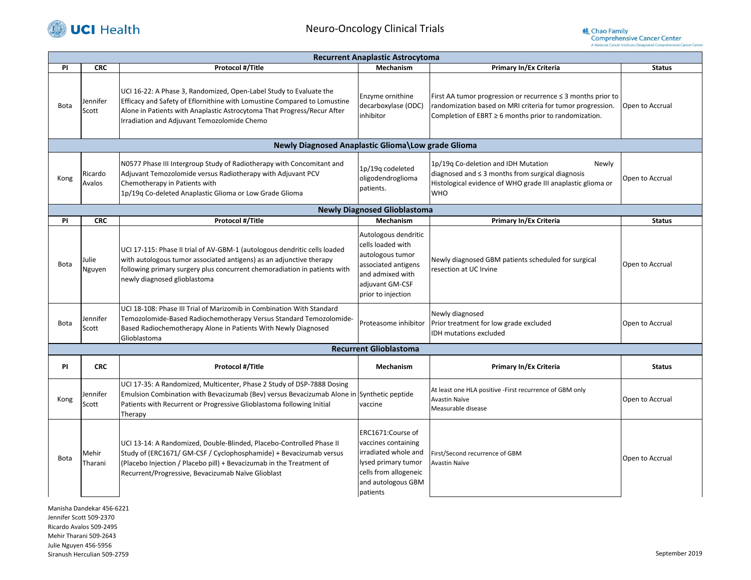

## Neuro-Oncology Clinical Trials



| <b>Recurrent Anaplastic Astrocytoma</b> |                   |                                                                                                                                                                                                                                                                          |                                                                                                                                                    |                                                                                                                                                                                               |                 |  |  |  |
|-----------------------------------------|-------------------|--------------------------------------------------------------------------------------------------------------------------------------------------------------------------------------------------------------------------------------------------------------------------|----------------------------------------------------------------------------------------------------------------------------------------------------|-----------------------------------------------------------------------------------------------------------------------------------------------------------------------------------------------|-----------------|--|--|--|
| <b>PI</b>                               | <b>CRC</b>        | Protocol #/Title                                                                                                                                                                                                                                                         | Mechanism                                                                                                                                          | <b>Primary In/Ex Criteria</b>                                                                                                                                                                 | <b>Status</b>   |  |  |  |
| <b>Bota</b>                             | Jennifer<br>Scott | UCI 16-22: A Phase 3, Randomized, Open-Label Study to Evaluate the<br>Efficacy and Safety of Eflornithine with Lomustine Compared to Lomustine<br>Alone in Patients with Anaplastic Astrocytoma That Progress/Recur After<br>Irradiation and Adjuvant Temozolomide Chemo | Enzyme ornithine<br>decarboxylase (ODC)<br>inhibitor                                                                                               | First AA tumor progression or recurrence $\leq$ 3 months prior to<br>randomization based on MRI criteria for tumor progression.<br>Completion of EBRT $\geq 6$ months prior to randomization. | Open to Accrual |  |  |  |
|                                         |                   | Newly Diagnosed Anaplastic Glioma\Low grade Glioma                                                                                                                                                                                                                       |                                                                                                                                                    |                                                                                                                                                                                               |                 |  |  |  |
| Kong                                    | Ricardo<br>Avalos | N0577 Phase III Intergroup Study of Radiotherapy with Concomitant and<br>Adjuvant Temozolomide versus Radiotherapy with Adjuvant PCV<br>Chemotherapy in Patients with<br>1p/19q Co-deleted Anaplastic Glioma or Low Grade Glioma                                         | 1p/19q codeleted<br>oligodendroglioma<br>patients.                                                                                                 | 1p/19q Co-deletion and IDH Mutation<br>Newly<br>diagnosed and $\leq$ 3 months from surgical diagnosis<br>Histological evidence of WHO grade III anaplastic glioma or<br><b>WHO</b>            | Open to Accrual |  |  |  |
|                                         |                   |                                                                                                                                                                                                                                                                          | <b>Newly Diagnosed Glioblastoma</b>                                                                                                                |                                                                                                                                                                                               |                 |  |  |  |
| <b>PI</b>                               | <b>CRC</b>        | Protocol #/Title                                                                                                                                                                                                                                                         | Mechanism                                                                                                                                          | <b>Primary In/Ex Criteria</b>                                                                                                                                                                 | <b>Status</b>   |  |  |  |
| <b>Bota</b>                             | Julie<br>Nguyen   | UCI 17-115: Phase II trial of AV-GBM-1 (autologous dendritic cells loaded<br>with autologous tumor associated antigens) as an adjunctive therapy<br>following primary surgery plus concurrent chemoradiation in patients with<br>newly diagnosed glioblastoma            | Autologous dendritic<br>cells loaded with<br>autologous tumor<br>associated antigens<br>and admixed with<br>adjuvant GM-CSF<br>prior to injection  | Newly diagnosed GBM patients scheduled for surgical<br>resection at UC Irvine                                                                                                                 | Open to Accrual |  |  |  |
| <b>Bota</b>                             | Jennifer<br>Scott | UCI 18-108: Phase III Trial of Marizomib in Combination With Standard<br>Temozolomide-Based Radiochemotherapy Versus Standard Temozolomide-<br>Based Radiochemotherapy Alone in Patients With Newly Diagnosed<br>Glioblastoma                                            | Proteasome inhibitor                                                                                                                               | Newly diagnosed<br>Prior treatment for low grade excluded<br>IDH mutations excluded                                                                                                           | Open to Accrual |  |  |  |
| <b>Recurrent Glioblastoma</b>           |                   |                                                                                                                                                                                                                                                                          |                                                                                                                                                    |                                                                                                                                                                                               |                 |  |  |  |
| <b>PI</b>                               | <b>CRC</b>        | Protocol #/Title                                                                                                                                                                                                                                                         | <b>Mechanism</b>                                                                                                                                   | Primary In/Ex Criteria                                                                                                                                                                        | <b>Status</b>   |  |  |  |
| Kong                                    | Jennifer<br>Scott | UCI 17-35: A Randomized, Multicenter, Phase 2 Study of DSP-7888 Dosing<br>Emulsion Combination with Bevacizumab (Bev) versus Bevacizumab Alone in Synthetic peptide<br>Patients with Recurrent or Progressive Glioblastoma following Initial<br>Therapy                  | vaccine                                                                                                                                            | At least one HLA positive -First recurrence of GBM only<br>Avastin Naïve<br>Measurable disease                                                                                                | Open to Accrual |  |  |  |
| <b>Bota</b>                             | Mehir<br>Tharani  | UCI 13-14: A Randomized, Double-Blinded, Placebo-Controlled Phase II<br>Study of (ERC1671/ GM-CSF / Cyclophosphamide) + Bevacizumab versus<br>(Placebo Injection / Placebo pill) + Bevacizumab in the Treatment of<br>Recurrent/Progressive, Bevacizumab Naïve Glioblast | ERC1671:Course of<br>vaccines containing<br>irradiated whole and<br>lysed primary tumor<br>cells from allogeneic<br>and autologous GBM<br>patients | First/Second recurrence of GBM<br>Avastin Naïve                                                                                                                                               | Open to Accrual |  |  |  |

Manisha Dandekar 456-6221 Jennifer Scott 509-2370 Ricardo Avalos 509-2495 Mehir Tharani 509-2643 Julie Nguyen 456-5956 Siranush Herculian 509-2759 September 2019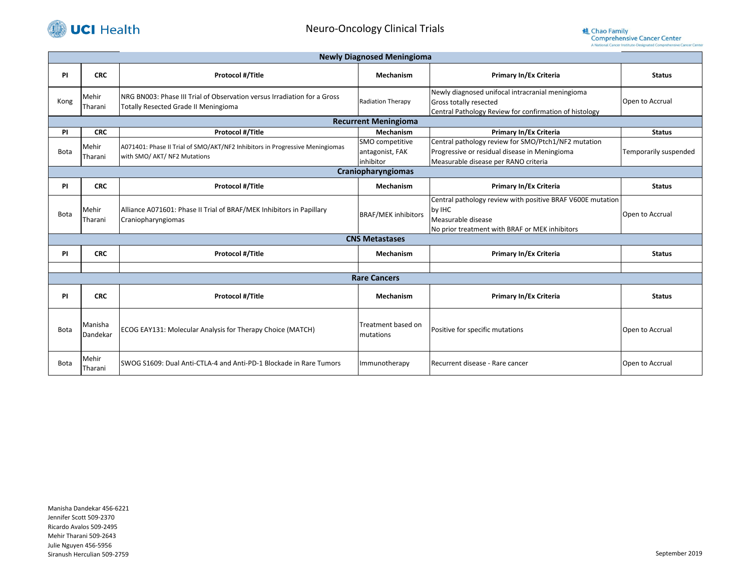

|                       | <b>Newly Diagnosed Meningioma</b> |                                                                                                                         |                                                 |                                                                                                                                              |                       |  |  |  |
|-----------------------|-----------------------------------|-------------------------------------------------------------------------------------------------------------------------|-------------------------------------------------|----------------------------------------------------------------------------------------------------------------------------------------------|-----------------------|--|--|--|
| <b>PI</b>             | <b>CRC</b>                        | <b>Protocol #/Title</b>                                                                                                 | Mechanism                                       | <b>Primary In/Ex Criteria</b>                                                                                                                | <b>Status</b>         |  |  |  |
| Kong                  | Mehir<br>Tharani                  | NRG BN003: Phase III Trial of Observation versus Irradiation for a Gross<br><b>Totally Resected Grade II Meningioma</b> | <b>Radiation Therapy</b>                        | Newly diagnosed unifocal intracranial meningioma<br>Gross totally resected<br>Central Pathology Review for confirmation of histology         | Open to Accrual       |  |  |  |
|                       |                                   |                                                                                                                         | <b>Recurrent Meningioma</b>                     |                                                                                                                                              |                       |  |  |  |
| <b>PI</b>             | <b>CRC</b>                        | Protocol #/Title                                                                                                        | Mechanism                                       | <b>Primary In/Ex Criteria</b>                                                                                                                | <b>Status</b>         |  |  |  |
| <b>Bota</b>           | Mehir<br>Tharani                  | A071401: Phase II Trial of SMO/AKT/NF2 Inhibitors in Progressive Meningiomas<br>with SMO/ AKT/ NF2 Mutations            | SMO competitive<br>antagonist, FAK<br>inhibitor | Central pathology review for SMO/Ptch1/NF2 mutation<br>Progressive or residual disease in Meningioma<br>Measurable disease per RANO criteria | Temporarily suspended |  |  |  |
|                       | Craniopharyngiomas                |                                                                                                                         |                                                 |                                                                                                                                              |                       |  |  |  |
| <b>PI</b>             | <b>CRC</b>                        | <b>Protocol #/Title</b>                                                                                                 | Mechanism                                       | <b>Primary In/Ex Criteria</b>                                                                                                                | <b>Status</b>         |  |  |  |
| <b>Bota</b>           | Mehir<br>Tharani                  | Alliance A071601: Phase II Trial of BRAF/MEK Inhibitors in Papillary<br>Craniopharyngiomas                              | <b>BRAF/MEK inhibitors</b>                      | Central pathology review with positive BRAF V600E mutation<br>by IHC<br>Measurable disease<br>No prior treatment with BRAF or MEK inhibitors | Open to Accrual       |  |  |  |
| <b>CNS Metastases</b> |                                   |                                                                                                                         |                                                 |                                                                                                                                              |                       |  |  |  |
| PI                    | <b>CRC</b>                        | <b>Protocol #/Title</b>                                                                                                 | Mechanism                                       | <b>Primary In/Ex Criteria</b>                                                                                                                | <b>Status</b>         |  |  |  |
|                       |                                   |                                                                                                                         |                                                 |                                                                                                                                              |                       |  |  |  |
|                       |                                   |                                                                                                                         | <b>Rare Cancers</b>                             |                                                                                                                                              |                       |  |  |  |
| <b>PI</b>             | <b>CRC</b>                        | <b>Protocol #/Title</b>                                                                                                 | Mechanism                                       | <b>Primary In/Ex Criteria</b>                                                                                                                | <b>Status</b>         |  |  |  |
| <b>Bota</b>           | Manisha<br>Dandekar               | ECOG EAY131: Molecular Analysis for Therapy Choice (MATCH)                                                              | Treatment based on<br>mutations                 | Positive for specific mutations                                                                                                              | Open to Accrual       |  |  |  |
| <b>Bota</b>           | Mehir<br>Tharani                  | SWOG S1609: Dual Anti-CTLA-4 and Anti-PD-1 Blockade in Rare Tumors                                                      | Immunotherapy                                   | Recurrent disease - Rare cancer                                                                                                              | Open to Accrual       |  |  |  |